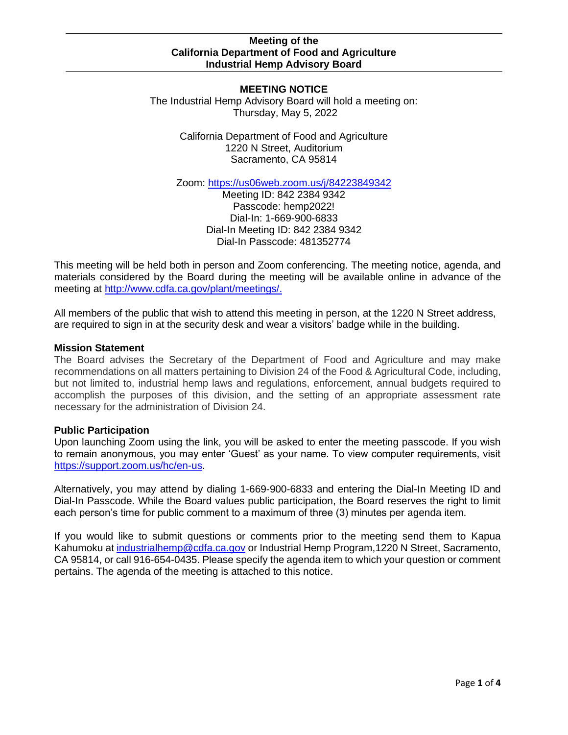#### **MEETING NOTICE** The Industrial Hemp Advisory Board will hold a meeting on: Thursday, May 5, 2022

California Department of Food and Agriculture 1220 N Street, Auditorium Sacramento, CA 95814

Zoom: [https://us06web.zoom.us/j/84223849342](https://gcc02.safelinks.protection.outlook.com/?url=https%3A%2F%2Fus06web.zoom.us%2Fj%2F84223849342&data=04%7C01%7CKapua.Kahumoku%40cdfa.ca.gov%7Cf06260150eda463ddc9d08d9fd651353%7Cafdfd251a22248978cbaae68cabfffbc%7C0%7C0%7C637819432839488203%7CUnknown%7CTWFpbGZsb3d8eyJWIjoiMC4wLjAwMDAiLCJQIjoiV2luMzIiLCJBTiI6Ik1haWwiLCJXVCI6Mn0%3D%7C3000&sdata=ITBltBm8hKdrldwdZYL5jgLt2bFs3WuwaJdNW%2BtbuzU%3D&reserved=0)

Meeting ID: 842 2384 9342 Passcode: hemp2022! Dial-In: 1-669-900-6833 Dial-In Meeting ID: 842 2384 9342 Dial-In Passcode: 481352774

This meeting will be held both in person and Zoom conferencing. The meeting notice, agenda, and materials considered by the Board during the meeting will be available online in advance of the meeting at [http://www.cdfa.ca.gov/plant/meetings/.](http://www.cdfa.ca.gov/plant/meetings/)

All members of the public that wish to attend this meeting in person, at the 1220 N Street address, are required to sign in at the security desk and wear a visitors' badge while in the building.

### **Mission Statement**

The Board advises the Secretary of the Department of Food and Agriculture and may make recommendations on all matters pertaining to Division 24 of the Food & Agricultural Code, including, but not limited to, industrial hemp laws and regulations, enforcement, annual budgets required to accomplish the purposes of this division, and the setting of an appropriate assessment rate necessary for the administration of Division 24.

# **Public Participation**

Upon launching Zoom using the link, you will be asked to enter the meeting passcode. If you wish to remain anonymous, you may enter 'Guest' as your name. To view computer requirements, visit [https://support.zoom.us/hc/en-us.](https://support.zoom.us/hc/en-us)

Alternatively, you may attend by dialing 1-669-900-6833 and entering the Dial-In Meeting ID and Dial-In Passcode. While the Board values public participation, the Board reserves the right to limit each person's time for public comment to a maximum of three (3) minutes per agenda item.

If you would like to submit questions or comments prior to the meeting send them to Kapua Kahumoku a[t industrialhemp@cdfa.ca.gov](mailto:industrialhemp@cdfa.ca.gov) or Industrial Hemp Program,1220 N Street, Sacramento, CA 95814, or call 916-654-0435. Please specify the agenda item to which your question or comment pertains. The agenda of the meeting is attached to this notice.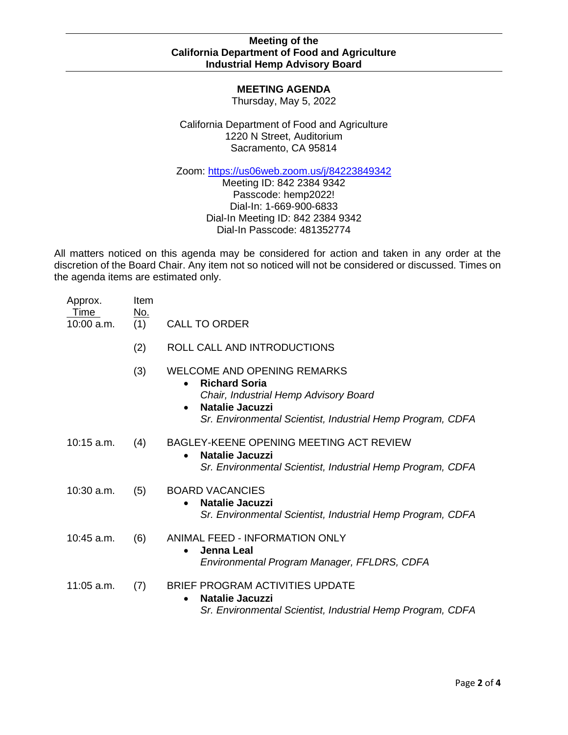# **MEETING AGENDA**

Thursday, May 5, 2022

California Department of Food and Agriculture 1220 N Street, Auditorium Sacramento, CA 95814

Zoom: [https://us06web.zoom.us/j/84223849342](https://gcc02.safelinks.protection.outlook.com/?url=https%3A%2F%2Fus06web.zoom.us%2Fj%2F84223849342&data=04%7C01%7CKapua.Kahumoku%40cdfa.ca.gov%7Cf06260150eda463ddc9d08d9fd651353%7Cafdfd251a22248978cbaae68cabfffbc%7C0%7C0%7C637819432839488203%7CUnknown%7CTWFpbGZsb3d8eyJWIjoiMC4wLjAwMDAiLCJQIjoiV2luMzIiLCJBTiI6Ik1haWwiLCJXVCI6Mn0%3D%7C3000&sdata=ITBltBm8hKdrldwdZYL5jgLt2bFs3WuwaJdNW%2BtbuzU%3D&reserved=0)

Meeting ID: 842 2384 9342 Passcode: hemp2022! Dial-In: 1-669-900-6833 Dial-In Meeting ID: 842 2384 9342 Dial-In Passcode: 481352774

All matters noticed on this agenda may be considered for action and taken in any order at the discretion of the Board Chair. Any item not so noticed will not be considered or discussed. Times on the agenda items are estimated only.

| Approx.<br>Time<br>$10:00$ a.m. | Item<br><u>No.</u><br>(1) | <b>CALL TO ORDER</b>                                                                                                                                                                                           |
|---------------------------------|---------------------------|----------------------------------------------------------------------------------------------------------------------------------------------------------------------------------------------------------------|
|                                 | (2)                       | ROLL CALL AND INTRODUCTIONS                                                                                                                                                                                    |
|                                 | (3)                       | WELCOME AND OPENING REMARKS<br><b>Richard Soria</b><br>$\bullet$<br>Chair, Industrial Hemp Advisory Board<br><b>Natalie Jacuzzi</b><br>$\bullet$<br>Sr. Environmental Scientist, Industrial Hemp Program, CDFA |
| $10:15$ a.m.                    | (4)                       | BAGLEY-KEENE OPENING MEETING ACT REVIEW<br><b>Natalie Jacuzzi</b><br>$\bullet$<br>Sr. Environmental Scientist, Industrial Hemp Program, CDFA                                                                   |
| $10:30$ a.m.                    | (5)                       | <b>BOARD VACANCIES</b><br>Natalie Jacuzzi<br>$\bullet$<br>Sr. Environmental Scientist, Industrial Hemp Program, CDFA                                                                                           |
| 10:45 a.m.                      | (6)                       | <b>ANIMAL FEED - INFORMATION ONLY</b><br><b>Jenna Leal</b><br>$\bullet$<br>Environmental Program Manager, FFLDRS, CDFA                                                                                         |
| $11:05$ a.m.                    | (7)                       | BRIEF PROGRAM ACTIVITIES UPDATE<br><b>Natalie Jacuzzi</b><br>$\bullet$<br>Sr. Environmental Scientist, Industrial Hemp Program, CDFA                                                                           |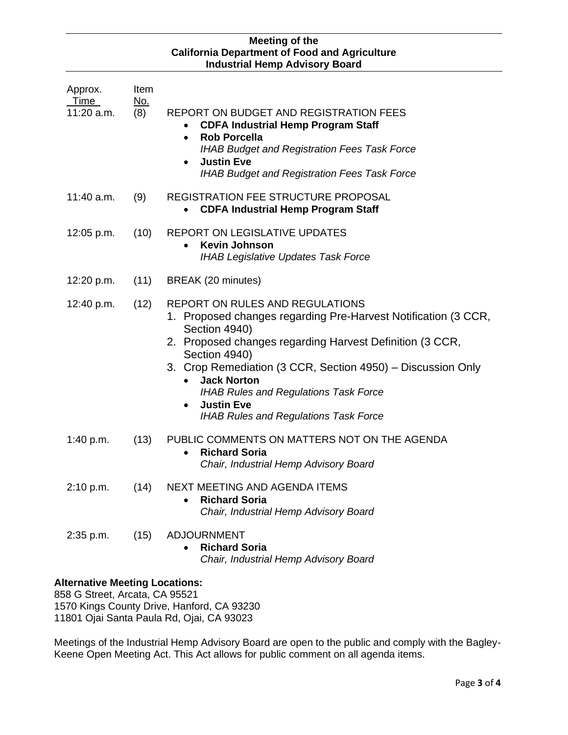| Approx.<br>Time<br>11:20 a.m.         | Item<br><u>No.</u><br>(8) | <b>REPORT ON BUDGET AND REGISTRATION FEES</b><br><b>CDFA Industrial Hemp Program Staff</b><br><b>Rob Porcella</b><br>$\bullet$<br>IHAB Budget and Registration Fees Task Force<br><b>Justin Eve</b><br>$\bullet$<br><b>IHAB Budget and Registration Fees Task Force</b>                                                                                                                                                                    |
|---------------------------------------|---------------------------|--------------------------------------------------------------------------------------------------------------------------------------------------------------------------------------------------------------------------------------------------------------------------------------------------------------------------------------------------------------------------------------------------------------------------------------------|
| 11:40 a.m.                            | (9)                       | <b>REGISTRATION FEE STRUCTURE PROPOSAL</b><br><b>CDFA Industrial Hemp Program Staff</b>                                                                                                                                                                                                                                                                                                                                                    |
| 12:05 p.m.                            | (10)                      | <b>REPORT ON LEGISLATIVE UPDATES</b><br><b>Kevin Johnson</b><br>$\bullet$<br><b>IHAB Legislative Updates Task Force</b>                                                                                                                                                                                                                                                                                                                    |
| 12:20 p.m.                            | (11)                      | BREAK (20 minutes)                                                                                                                                                                                                                                                                                                                                                                                                                         |
| 12:40 p.m.                            | (12)                      | <b>REPORT ON RULES AND REGULATIONS</b><br>1. Proposed changes regarding Pre-Harvest Notification (3 CCR,<br>Section 4940)<br>2. Proposed changes regarding Harvest Definition (3 CCR,<br>Section 4940)<br>3. Crop Remediation (3 CCR, Section 4950) - Discussion Only<br><b>Jack Norton</b><br>$\bullet$<br><b>IHAB Rules and Regulations Task Force</b><br><b>Justin Eve</b><br>$\bullet$<br><b>IHAB Rules and Regulations Task Force</b> |
| 1:40 p.m.                             | (13)                      | PUBLIC COMMENTS ON MATTERS NOT ON THE AGENDA<br><b>Richard Soria</b><br>Chair, Industrial Hemp Advisory Board                                                                                                                                                                                                                                                                                                                              |
| 2:10 p.m.                             | (14)                      | NEXT MEETING AND AGENDA ITEMS<br><b>Richard Soria</b><br>Chair, Industrial Hemp Advisory Board                                                                                                                                                                                                                                                                                                                                             |
| 2:35 p.m.                             | (15)                      | <b>ADJOURNMENT</b><br><b>Richard Soria</b><br>Chair, Industrial Hemp Advisory Board                                                                                                                                                                                                                                                                                                                                                        |
| <b>Alternative Meeting Locations:</b> |                           |                                                                                                                                                                                                                                                                                                                                                                                                                                            |

858 G Street, Arcata, CA 95521 1570 Kings County Drive, Hanford, CA 93230 11801 Ojai Santa Paula Rd, Ojai, CA 93023

Meetings of the Industrial Hemp Advisory Board are open to the public and comply with the Bagley-Keene Open Meeting Act. This Act allows for public comment on all agenda items.